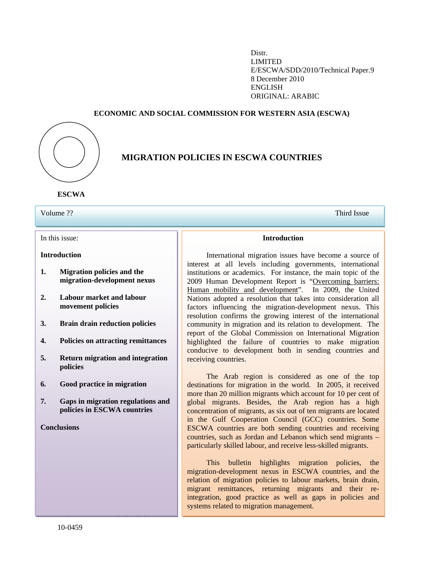Distr. LIMITED E/ESCWA/SDD/2010/Technical Paper.9 8 December 2010 ENGLISH ORIGINAL: ARABIC

# **ECONOMIC AND SOCIAL COMMISSION FOR WESTERN ASIA (ESCWA)**



# **MIGRATION POLICIES IN ESCWA COUNTRIES**

**ESCWA** 

# Volume ?? Third Issue

In this issue:

# **Introduction**

- **1. Migration policies and the migration-development nexus**
- **2. Labour market and labour movement policies**
- **3. Brain drain reduction policies**
- **4. Policies on attracting remittances**
- **5. Return migration and integration policies**
- **6. Good practice in migration**
- **7. Gaps in migration regulations and policies in ESCWA countries**

**Conclusions**

**Introduction**

Ì

 International migration issues have become a source of interest at all levels including governments, international institutions or academics. For instance, the main topic of the 2009 Human Development Report is "Overcoming barriers: Human mobility and development". In 2009, the United Nations adopted a resolution that takes into consideration all factors influencing the migration-development nexus. This resolution confirms the growing interest of the international community in migration and its relation to development. The report of the Global Commission on International Migration highlighted the failure of countries to make migration conducive to development both in sending countries and receiving countries.

 The Arab region is considered as one of the top destinations for migration in the world. In 2005, it received more than 20 million migrants which account for 10 per cent of global migrants. Besides, the Arab region has a high concentration of migrants, as six out of ten migrants are located in the Gulf Cooperation Council (GCC) countries. Some ESCWA countries are both sending countries and receiving countries, such as Jordan and Lebanon which send migrants – particularly skilled labour, and receive less-skilled migrants.

 This bulletin highlights migration policies, the migration-development nexus in ESCWA countries, and the relation of migration policies to labour markets, brain drain, migrant remittances, returning migrants and their reintegration, good practice as well as gaps in policies and systems related to migration management.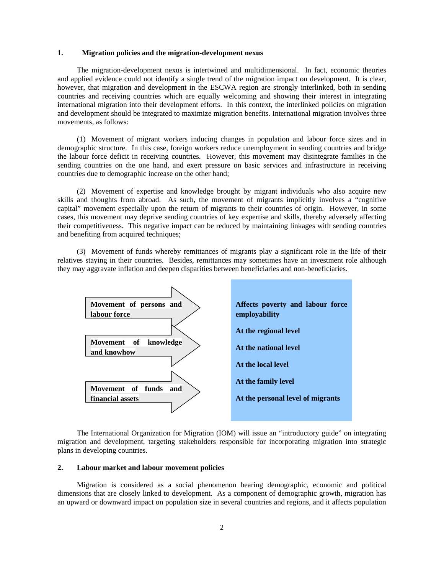## **1. Migration policies and the migration-development nexus**

 The migration-development nexus is intertwined and multidimensional. In fact, economic theories and applied evidence could not identify a single trend of the migration impact on development. It is clear, however, that migration and development in the ESCWA region are strongly interlinked, both in sending countries and receiving countries which are equally welcoming and showing their interest in integrating international migration into their development efforts. In this context, the interlinked policies on migration and development should be integrated to maximize migration benefits. International migration involves three movements, as follows:

 (1) Movement of migrant workers inducing changes in population and labour force sizes and in demographic structure. In this case, foreign workers reduce unemployment in sending countries and bridge the labour force deficit in receiving countries. However, this movement may disintegrate families in the sending countries on the one hand, and exert pressure on basic services and infrastructure in receiving countries due to demographic increase on the other hand;

 (2) Movement of expertise and knowledge brought by migrant individuals who also acquire new skills and thoughts from abroad. As such, the movement of migrants implicitly involves a "cognitive capital" movement especially upon the return of migrants to their countries of origin. However, in some cases, this movement may deprive sending countries of key expertise and skills, thereby adversely affecting their competitiveness. This negative impact can be reduced by maintaining linkages with sending countries and benefiting from acquired techniques;

 (3) Movement of funds whereby remittances of migrants play a significant role in the life of their relatives staying in their countries. Besides, remittances may sometimes have an investment role although they may aggravate inflation and deepen disparities between beneficiaries and non-beneficiaries.



 The International Organization for Migration (IOM) will issue an "introductory guide" on integrating migration and development, targeting stakeholders responsible for incorporating migration into strategic plans in developing countries.

## **2. Labour market and labour movement policies**

 Migration is considered as a social phenomenon bearing demographic, economic and political dimensions that are closely linked to development. As a component of demographic growth, migration has an upward or downward impact on population size in several countries and regions, and it affects population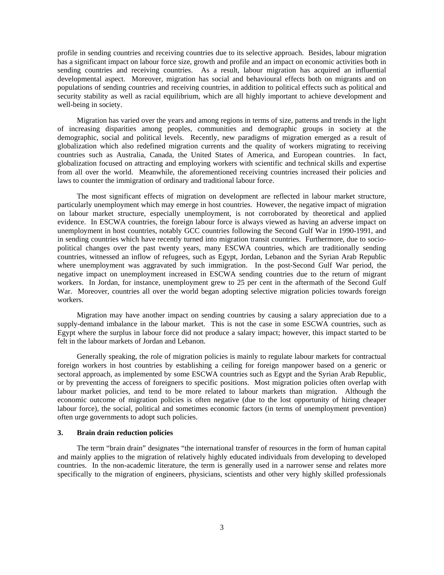profile in sending countries and receiving countries due to its selective approach. Besides, labour migration has a significant impact on labour force size, growth and profile and an impact on economic activities both in sending countries and receiving countries. As a result, labour migration has acquired an influential developmental aspect. Moreover, migration has social and behavioural effects both on migrants and on populations of sending countries and receiving countries, in addition to political effects such as political and security stability as well as racial equilibrium, which are all highly important to achieve development and well-being in society.

 Migration has varied over the years and among regions in terms of size, patterns and trends in the light of increasing disparities among peoples, communities and demographic groups in society at the demographic, social and political levels. Recently, new paradigms of migration emerged as a result of globalization which also redefined migration currents and the quality of workers migrating to receiving countries such as Australia, Canada, the United States of America, and European countries. In fact, globalization focused on attracting and employing workers with scientific and technical skills and expertise from all over the world. Meanwhile, the aforementioned receiving countries increased their policies and laws to counter the immigration of ordinary and traditional labour force.

 The most significant effects of migration on development are reflected in labour market structure, particularly unemployment which may emerge in host countries. However, the negative impact of migration on labour market structure, especially unemployment, is not corroborated by theoretical and applied evidence. In ESCWA countries, the foreign labour force is always viewed as having an adverse impact on unemployment in host countries, notably GCC countries following the Second Gulf War in 1990-1991, and in sending countries which have recently turned into migration transit countries. Furthermore, due to sociopolitical changes over the past twenty years, many ESCWA countries, which are traditionally sending countries, witnessed an inflow of refugees, such as Egypt, Jordan, Lebanon and the Syrian Arab Republic where unemployment was aggravated by such immigration. In the post-Second Gulf War period, the negative impact on unemployment increased in ESCWA sending countries due to the return of migrant workers. In Jordan, for instance, unemployment grew to 25 per cent in the aftermath of the Second Gulf War. Moreover, countries all over the world began adopting selective migration policies towards foreign workers.

 Migration may have another impact on sending countries by causing a salary appreciation due to a supply-demand imbalance in the labour market. This is not the case in some ESCWA countries, such as Egypt where the surplus in labour force did not produce a salary impact; however, this impact started to be felt in the labour markets of Jordan and Lebanon.

 Generally speaking, the role of migration policies is mainly to regulate labour markets for contractual foreign workers in host countries by establishing a ceiling for foreign manpower based on a generic or sectoral approach, as implemented by some ESCWA countries such as Egypt and the Syrian Arab Republic, or by preventing the access of foreigners to specific positions. Most migration policies often overlap with labour market policies, and tend to be more related to labour markets than migration. Although the economic outcome of migration policies is often negative (due to the lost opportunity of hiring cheaper labour force), the social, political and sometimes economic factors (in terms of unemployment prevention) often urge governments to adopt such policies.

#### **3. Brain drain reduction policies**

 The term "brain drain" designates "the international transfer of resources in the form of human capital and mainly applies to the migration of relatively highly educated individuals from developing to developed countries. In the non-academic literature, the term is generally used in a narrower sense and relates more specifically to the migration of engineers, physicians, scientists and other very highly skilled professionals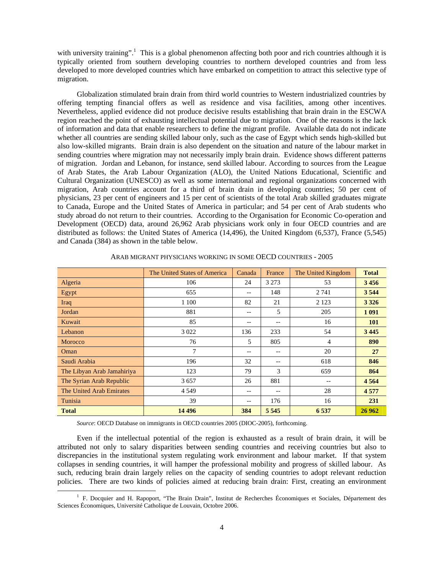with university training".<sup>1</sup> This is a global phenomenon affecting both poor and rich countries although it is typically oriented from southern developing countries to northern developed countries and from less developed to more developed countries which have embarked on competition to attract this selective type of migration.

 Globalization stimulated brain drain from third world countries to Western industrialized countries by offering tempting financial offers as well as residence and visa facilities, among other incentives. Nevertheless, applied evidence did not produce decisive results establishing that brain drain in the ESCWA region reached the point of exhausting intellectual potential due to migration. One of the reasons is the lack of information and data that enable researchers to define the migrant profile. Available data do not indicate whether all countries are sending skilled labour only, such as the case of Egypt which sends high-skilled but also low-skilled migrants. Brain drain is also dependent on the situation and nature of the labour market in sending countries where migration may not necessarily imply brain drain. Evidence shows different patterns of migration. Jordan and Lebanon, for instance, send skilled labour. According to sources from the League of Arab States, the Arab Labour Organization (ALO), the United Nations Educational, Scientific and Cultural Organization (UNESCO) as well as some international and regional organizations concerned with migration, Arab countries account for a third of brain drain in developing countries; 50 per cent of physicians, 23 per cent of engineers and 15 per cent of scientists of the total Arab skilled graduates migrate to Canada, Europe and the United States of America in particular; and 54 per cent of Arab students who study abroad do not return to their countries. According to the Organisation for Economic Co-operation and Development (OECD) data, around 26,962 Arab physicians work only in four OECD countries and are distributed as follows: the United States of America (14,496), the United Kingdom (6,537), France (5,545) and Canada (384) as shown in the table below.

|                            | The United States of America | Canada            | France  | The United Kingdom | <b>Total</b> |
|----------------------------|------------------------------|-------------------|---------|--------------------|--------------|
| Algeria                    | 106                          | 24                | 3 2 7 3 | 53                 | 3456         |
| Egypt                      | 655                          | $\qquad \qquad -$ | 148     | 2 7 4 1            | 3544         |
| Iraq                       | 1 100                        | 82                | 21      | 2 1 2 3            | 3 3 2 6      |
| Jordan                     | 881                          | $- -$             | 5       | 205                | 1 0 9 1      |
| Kuwait                     | 85                           | --                | --      | 16                 | 101          |
| Lebanon                    | 3 0 2 2                      | 136               | 233     | 54                 | 3 4 4 5      |
| Morocco                    | 76                           | 5                 | 805     | $\overline{4}$     | 890          |
| Oman                       | 7                            | $- -$             | $- -$   | 20                 | 27           |
| Saudi Arabia               | 196                          | 32                | $- -$   | 618                | 846          |
| The Libyan Arab Jamahiriya | 123                          | 79                | 3       | 659                | 864          |
| The Syrian Arab Republic   | 3657                         | 26                | 881     |                    | 4564         |
| The United Arab Emirates   | 4 5 4 9                      | $\qquad \qquad -$ | $- -$   | 28                 | 4577         |
| Tunisia                    | 39                           | $- -$             | 176     | 16                 | 231          |
| <b>Total</b>               | 14 4 9 6                     | 384               | 5 5 4 5 | 6 5 3 7            | 26 962       |

ARAB MIGRANT PHYSICIANS WORKING IN SOME OECD COUNTRIES - 2005

*Source*: OECD Database on immigrants in OECD countries 2005 (DIOC-2005), forthcoming.

 Even if the intellectual potential of the region is exhausted as a result of brain drain, it will be attributed not only to salary disparities between sending countries and receiving countries but also to discrepancies in the institutional system regulating work environment and labour market. If that system collapses in sending countries, it will hamper the professional mobility and progress of skilled labour. As such, reducing brain drain largely relies on the capacity of sending countries to adopt relevant reduction policies. There are two kinds of policies aimed at reducing brain drain: First, creating an environment

 $\overline{\phantom{a}}$ <sup>1</sup> F. Docquier and H. Rapoport, "The Brain Drain", Institut de Recherches Économiques et Sociales, Département des Sciences Économiques, Université Catholique de Louvain, Octobre 2006.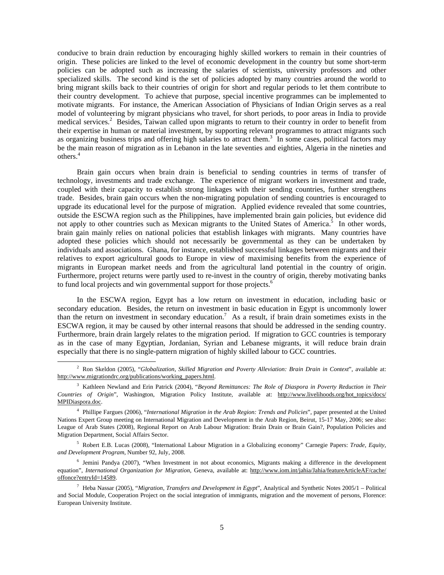conducive to brain drain reduction by encouraging highly skilled workers to remain in their countries of origin. These policies are linked to the level of economic development in the country but some short-term policies can be adopted such as increasing the salaries of scientists, university professors and other specialized skills. The second kind is the set of policies adopted by many countries around the world to bring migrant skills back to their countries of origin for short and regular periods to let them contribute to their country development. To achieve that purpose, special incentive programmes can be implemented to motivate migrants. For instance, the American Association of Physicians of Indian Origin serves as a real model of volunteering by migrant physicians who travel, for short periods, to poor areas in India to provide medical services.<sup>2</sup> Besides, Taiwan called upon migrants to return to their country in order to benefit from their expertise in human or material investment, by supporting relevant programmes to attract migrants such as organizing business trips and offering high salaries to attract them.<sup>3</sup> In some cases, political factors may be the main reason of migration as in Lebanon in the late seventies and eighties, Algeria in the nineties and others.<sup>4</sup>

 Brain gain occurs when brain drain is beneficial to sending countries in terms of transfer of technology, investments and trade exchange. The experience of migrant workers in investment and trade, coupled with their capacity to establish strong linkages with their sending countries, further strengthens trade. Besides, brain gain occurs when the non-migrating population of sending countries is encouraged to upgrade its educational level for the purpose of migration. Applied evidence revealed that some countries, outside the ESCWA region such as the Philippines, have implemented brain gain policies, but evidence did not apply to other countries such as Mexican migrants to the United States of America.<sup>5</sup> In other words, brain gain mainly relies on national policies that establish linkages with migrants. Many countries have adopted these policies which should not necessarily be governmental as they can be undertaken by individuals and associations. Ghana, for instance, established successful linkages between migrants and their relatives to export agricultural goods to Europe in view of maximising benefits from the experience of migrants in European market needs and from the agricultural land potential in the country of origin. Furthermore, project returns were partly used to re-invest in the country of origin, thereby motivating banks to fund local projects and win governmental support for those projects.<sup>6</sup>

 In the ESCWA region, Egypt has a low return on investment in education, including basic or secondary education. Besides, the return on investment in basic education in Egypt is uncommonly lower than the return on investment in secondary education.<sup>7</sup> As a result, if brain drain sometimes exists in the ESCWA region, it may be caused by other internal reasons that should be addressed in the sending country. Furthermore, brain drain largely relates to the migration period. If migration to GCC countries is temporary as in the case of many Egyptian, Jordanian, Syrian and Lebanese migrants, it will reduce brain drain especially that there is no single-pattern migration of highly skilled labour to GCC countries.

 $\overline{2}$  Ron Skeldon (2005), "*Globalization, Skilled Migration and Poverty Alleviation: Brain Drain in Context*", available at: http://www.migrationdrc.org/publications/working\_papers.html.

<sup>3</sup> Kathleen Newland and Erin Patrick (2004), "*Beyond Remittances: The Role of Diaspora in Poverty Reduction in Their Countries of Origin*", Washington, Migration Policy Institute, available at: http://www.livelihoods.org/hot\_topics/docs/ MPIDiaspora.doc.

<sup>4</sup> Phillipe Fargues (2006), "*International Migration in the Arab Region: Trends and Policies*", paper presented at the United Nations Expert Group meeting on International Migration and Development in the Arab Region, Beirut, 15-17 May, 2006; see also: League of Arab States (2008), Regional Report on Arab Labour Migration: Brain Drain or Brain Gain?, Population Policies and Migration Department, Social Affairs Sector.

<sup>5</sup> Robert E.B. Lucas (2008), "International Labour Migration in a Globalizing economy" Carnegie Papers: *Trade, Equity, and Development Program*, Number 92, July, 2008.

<sup>6</sup> Jemini Pandya (2007), "When Investment in not about economics, Migrants making a difference in the development equation", *International Organization for Migration*, Geneva, available at: http://www.iom.int/jahia/Jahia/featureArticleAF/cache/ offonce?entryId=14589.

<sup>7</sup> Heba Nassar (2005), "*Migration, Transfers and Development in Egypt*", Analytical and Synthetic Notes 2005/1 – Political and Social Module, Cooperation Project on the social integration of immigrants, migration and the movement of persons, Florence: European University Institute.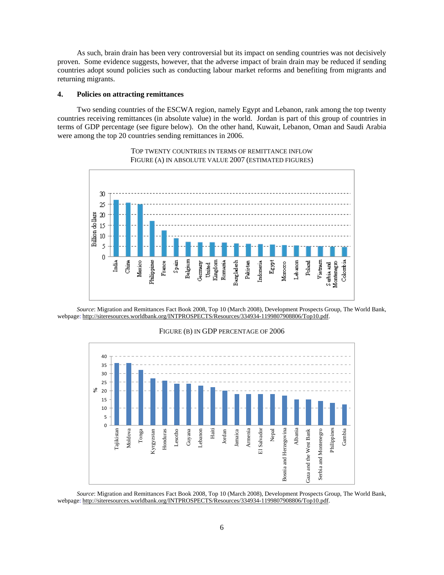As such, brain drain has been very controversial but its impact on sending countries was not decisively proven. Some evidence suggests, however, that the adverse impact of brain drain may be reduced if sending countries adopt sound policies such as conducting labour market reforms and benefiting from migrants and returning migrants.

#### **4. Policies on attracting remittances**

 Two sending countries of the ESCWA region, namely Egypt and Lebanon, rank among the top twenty countries receiving remittances (in absolute value) in the world. Jordan is part of this group of countries in terms of GDP percentage (see figure below). On the other hand, Kuwait, Lebanon, Oman and Saudi Arabia were among the top 20 countries sending remittances in 2006.



TOP TWENTY COUNTRIES IN TERMS OF REMITTANCE INFLOW FIGURE (A) IN ABSOLUTE VALUE 2007 (ESTIMATED FIGURES)

 *Source*: Migration and Remittances Fact Book 2008, Top 10 (March 2008), Development Prospects Group, The World Bank, webpage: http://siteresources.worldbank.org/INTPROSPECTS/Resources/334934-1199807908806/Top10.pdf.



#### FIGURE (B) IN GDP PERCENTAGE OF 2006

 *Source*: Migration and Remittances Fact Book 2008, Top 10 (March 2008), Development Prospects Group, The World Bank, webpage: http://siteresources.worldbank.org/INTPROSPECTS/Resources/334934-1199807908806/Top10.pdf.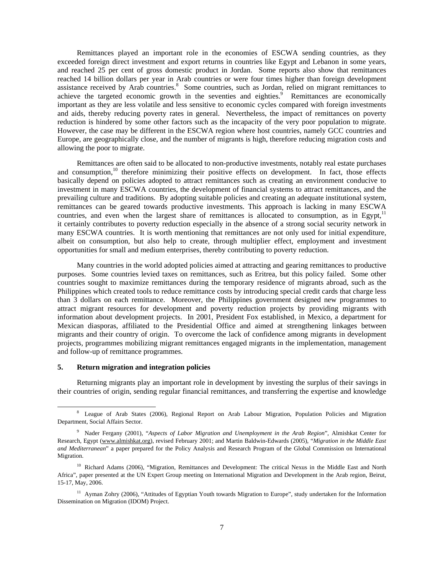Remittances played an important role in the economies of ESCWA sending countries, as they exceeded foreign direct investment and export returns in countries like Egypt and Lebanon in some years, and reached 25 per cent of gross domestic product in Jordan. Some reports also show that remittances reached 14 billion dollars per year in Arab countries or were four times higher than foreign development assistance received by Arab countries.<sup>8</sup> Some countries, such as Jordan, relied on migrant remittances to achieve the targeted economic growth in the seventies and eighties.<sup>9</sup> Remittances are economically important as they are less volatile and less sensitive to economic cycles compared with foreign investments and aids, thereby reducing poverty rates in general. Nevertheless, the impact of remittances on poverty reduction is hindered by some other factors such as the incapacity of the very poor population to migrate. However, the case may be different in the ESCWA region where host countries, namely GCC countries and Europe, are geographically close, and the number of migrants is high, therefore reducing migration costs and allowing the poor to migrate.

 Remittances are often said to be allocated to non-productive investments, notably real estate purchases and consumption,<sup>10</sup> therefore minimizing their positive effects on development. In fact, those effects basically depend on policies adopted to attract remittances such as creating an environment conducive to investment in many ESCWA countries, the development of financial systems to attract remittances, and the prevailing culture and traditions. By adopting suitable policies and creating an adequate institutional system, remittances can be geared towards productive investments. This approach is lacking in many ESCWA countries, and even when the largest share of remittances is allocated to consumption, as in Egypt, $<sup>11</sup>$ </sup> it certainly contributes to poverty reduction especially in the absence of a strong social security network in many ESCWA countries. It is worth mentioning that remittances are not only used for initial expenditure, albeit on consumption, but also help to create, through multiplier effect, employment and investment opportunities for small and medium enterprises, thereby contributing to poverty reduction.

 Many countries in the world adopted policies aimed at attracting and gearing remittances to productive purposes. Some countries levied taxes on remittances, such as Eritrea, but this policy failed. Some other countries sought to maximize remittances during the temporary residence of migrants abroad, such as the Philippines which created tools to reduce remittance costs by introducing special credit cards that charge less than 3 dollars on each remittance. Moreover, the Philippines government designed new programmes to attract migrant resources for development and poverty reduction projects by providing migrants with information about development projects. In 2001, President Fox established, in Mexico, a department for Mexican diasporas, affiliated to the Presidential Office and aimed at strengthening linkages between migrants and their country of origin. To overcome the lack of confidence among migrants in development projects, programmes mobilizing migrant remittances engaged migrants in the implementation, management and follow-up of remittance programmes.

#### **5. Return migration and integration policies**

 Returning migrants play an important role in development by investing the surplus of their savings in their countries of origin, sending regular financial remittances, and transferring the expertise and knowledge

 <sup>8</sup> League of Arab States (2006), Regional Report on Arab Labour Migration, Population Policies and Migration Department, Social Affairs Sector.

<sup>9</sup> Nader Fergany (2001), "*Aspects of Labor Migration and Unemployment in the Arab Region*", Almishkat Center for Research, Egypt (www.almishkat.org), revised February 2001; and Martin Baldwin-Edwards (2005), "*Migration in the Middle East and Mediterranean*" a paper prepared for the Policy Analysis and Research Program of the Global Commission on International Migration.

<sup>&</sup>lt;sup>10</sup> Richard Adams (2006), "Migration, Remittances and Development: The critical Nexus in the Middle East and North Africa", paper presented at the UN Expert Group meeting on International Migration and Development in the Arab region, Beirut, 15-17, May, 2006.

<sup>&</sup>lt;sup>11</sup> Ayman Zohry (2006), "Attitudes of Egyptian Youth towards Migration to Europe", study undertaken for the Information Dissemination on Migration (IDOM) Project.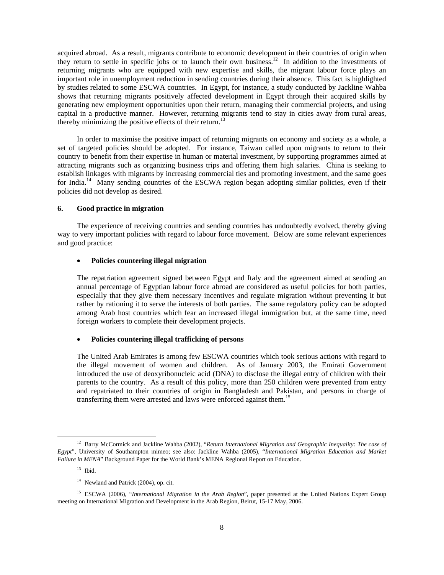acquired abroad. As a result, migrants contribute to economic development in their countries of origin when they return to settle in specific jobs or to launch their own business.<sup>12</sup> In addition to the investments of returning migrants who are equipped with new expertise and skills, the migrant labour force plays an important role in unemployment reduction in sending countries during their absence. This fact is highlighted by studies related to some ESCWA countries. In Egypt, for instance, a study conducted by Jackline Wahba shows that returning migrants positively affected development in Egypt through their acquired skills by generating new employment opportunities upon their return, managing their commercial projects, and using capital in a productive manner. However, returning migrants tend to stay in cities away from rural areas, thereby minimizing the positive effects of their return.<sup>13</sup>

 In order to maximise the positive impact of returning migrants on economy and society as a whole, a set of targeted policies should be adopted. For instance, Taiwan called upon migrants to return to their country to benefit from their expertise in human or material investment, by supporting programmes aimed at attracting migrants such as organizing business trips and offering them high salaries. China is seeking to establish linkages with migrants by increasing commercial ties and promoting investment, and the same goes for India.<sup>14</sup> Many sending countries of the ESCWA region began adopting similar policies, even if their policies did not develop as desired.

#### **6. Good practice in migration**

 The experience of receiving countries and sending countries has undoubtedly evolved, thereby giving way to very important policies with regard to labour force movement. Below are some relevant experiences and good practice:

#### • **Policies countering illegal migration**

 The repatriation agreement signed between Egypt and Italy and the agreement aimed at sending an annual percentage of Egyptian labour force abroad are considered as useful policies for both parties, especially that they give them necessary incentives and regulate migration without preventing it but rather by rationing it to serve the interests of both parties. The same regulatory policy can be adopted among Arab host countries which fear an increased illegal immigration but, at the same time, need foreign workers to complete their development projects.

# • **Policies countering illegal trafficking of persons**

 The United Arab Emirates is among few ESCWA countries which took serious actions with regard to the illegal movement of women and children. As of January 2003, the Emirati Government introduced the use of deoxyribonucleic acid (DNA) to disclose the illegal entry of children with their parents to the country. As a result of this policy, more than 250 children were prevented from entry and repatriated to their countries of origin in Bangladesh and Pakistan, and persons in charge of transferring them were arrested and laws were enforced against them.<sup>15</sup>

 <sup>12</sup> Barry McCormick and Jackline Wahba (2002), "*Return International Migration and Geographic Inequality: The case of Egypt*", University of Southampton mimeo; see also: Jackline Wahba (2005), "*International Migration Education and Market Failure in MENA*" Background Paper for the World Bank's MENA Regional Report on Education.

 $13$  Ibid.

<sup>&</sup>lt;sup>14</sup> Newland and Patrick (2004), op. cit.

<sup>&</sup>lt;sup>15</sup> ESCWA (2006), "*International Migration in the Arab Region*", paper presented at the United Nations Expert Group meeting on International Migration and Development in the Arab Region, Beirut, 15-17 May, 2006.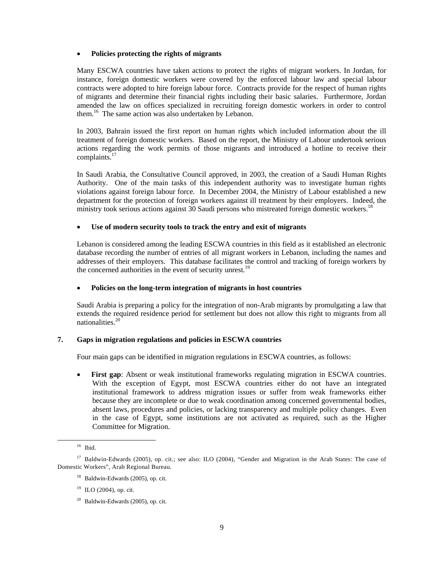#### • **Policies protecting the rights of migrants**

 Many ESCWA countries have taken actions to protect the rights of migrant workers. In Jordan, for instance, foreign domestic workers were covered by the enforced labour law and special labour contracts were adopted to hire foreign labour force. Contracts provide for the respect of human rights of migrants and determine their financial rights including their basic salaries. Furthermore, Jordan amended the law on offices specialized in recruiting foreign domestic workers in order to control them.<sup>16</sup> The same action was also undertaken by Lebanon.

 In 2003, Bahrain issued the first report on human rights which included information about the ill treatment of foreign domestic workers. Based on the report, the Ministry of Labour undertook serious actions regarding the work permits of those migrants and introduced a hotline to receive their complaints.<sup>17</sup>

 In Saudi Arabia, the Consultative Council approved, in 2003, the creation of a Saudi Human Rights Authority. One of the main tasks of this independent authority was to investigate human rights violations against foreign labour force. In December 2004, the Ministry of Labour established a new department for the protection of foreign workers against ill treatment by their employers. Indeed, the ministry took serious actions against 30 Saudi persons who mistreated foreign domestic workers.<sup>18</sup>

# • **Use of modern security tools to track the entry and exit of migrants**

 Lebanon is considered among the leading ESCWA countries in this field as it established an electronic database recording the number of entries of all migrant workers in Lebanon, including the names and addresses of their employers. This database facilitates the control and tracking of foreign workers by the concerned authorities in the event of security unrest.<sup>19</sup>

## • **Policies on the long-term integration of migrants in host countries**

 Saudi Arabia is preparing a policy for the integration of non-Arab migrants by promulgating a law that extends the required residence period for settlement but does not allow this right to migrants from all nationalities.<sup>20</sup>

# **7. Gaps in migration regulations and policies in ESCWA countries**

Four main gaps can be identified in migration regulations in ESCWA countries, as follows:

• **First gap**: Absent or weak institutional frameworks regulating migration in ESCWA countries. With the exception of Egypt, most ESCWA countries either do not have an integrated institutional framework to address migration issues or suffer from weak frameworks either because they are incomplete or due to weak coordination among concerned governmental bodies, absent laws, procedures and policies, or lacking transparency and multiple policy changes. Even in the case of Egypt, some institutions are not activated as required, such as the Higher Committee for Migration.

 <sup>16</sup> Ibid.

<sup>&</sup>lt;sup>17</sup> Baldwin-Edwards (2005), op. cit.; see also: ILO (2004), "Gender and Migration in the Arab States: The case of Domestic Workers", Arab Regional Bureau.

<sup>18</sup> Baldwin-Edwards (2005), op. cit.

 $19$  ILO (2004), op. cit.

 $20$  Baldwin-Edwards (2005), op. cit.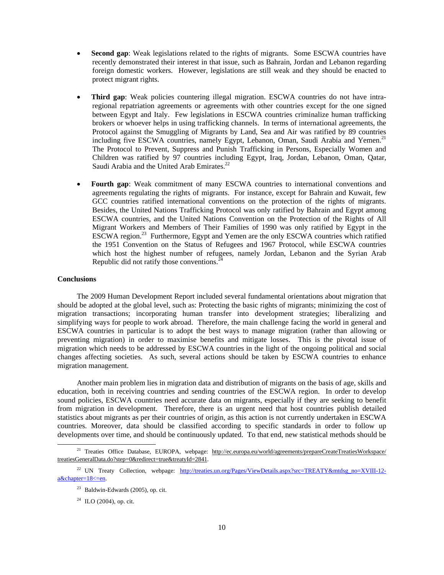- Second gap: Weak legislations related to the rights of migrants. Some ESCWA countries have recently demonstrated their interest in that issue, such as Bahrain, Jordan and Lebanon regarding foreign domestic workers. However, legislations are still weak and they should be enacted to protect migrant rights.
- **Third gap**: Weak policies countering illegal migration. ESCWA countries do not have intraregional repatriation agreements or agreements with other countries except for the one signed between Egypt and Italy. Few legislations in ESCWA countries criminalize human trafficking brokers or whoever helps in using trafficking channels. In terms of international agreements, the Protocol against the Smuggling of Migrants by Land, Sea and Air was ratified by 89 countries including five ESCWA countries, namely Egypt, Lebanon, Oman, Saudi Arabia and Yemen.<sup>21</sup> The Protocol to Prevent, Suppress and Punish Trafficking in Persons, Especially Women and Children was ratified by 97 countries including Egypt, Iraq, Jordan, Lebanon, Oman, Qatar, Saudi Arabia and the United Arab Emirates.<sup>22</sup>
- **Fourth gap**: Weak commitment of many ESCWA countries to international conventions and agreements regulating the rights of migrants. For instance, except for Bahrain and Kuwait, few GCC countries ratified international conventions on the protection of the rights of migrants. Besides, the United Nations Trafficking Protocol was only ratified by Bahrain and Egypt among ESCWA countries, and the United Nations Convention on the Protection of the Rights of All Migrant Workers and Members of Their Families of 1990 was only ratified by Egypt in the ESCWA region.23 Furthermore, Egypt and Yemen are the only ESCWA countries which ratified the 1951 Convention on the Status of Refugees and 1967 Protocol, while ESCWA countries which host the highest number of refugees, namely Jordan, Lebanon and the Syrian Arab Republic did not ratify those conventions. $24$

# **Conclusions**

 The 2009 Human Development Report included several fundamental orientations about migration that should be adopted at the global level, such as: Protecting the basic rights of migrants; minimizing the cost of migration transactions; incorporating human transfer into development strategies; liberalizing and simplifying ways for people to work abroad. Therefore, the main challenge facing the world in general and ESCWA countries in particular is to adopt the best ways to manage migration (rather than allowing or preventing migration) in order to maximise benefits and mitigate losses. This is the pivotal issue of migration which needs to be addressed by ESCWA countries in the light of the ongoing political and social changes affecting societies. As such, several actions should be taken by ESCWA countries to enhance migration management.

 Another main problem lies in migration data and distribution of migrants on the basis of age, skills and education, both in receiving countries and sending countries of the ESCWA region. In order to develop sound policies, ESCWA countries need accurate data on migrants, especially if they are seeking to benefit from migration in development. Therefore, there is an urgent need that host countries publish detailed statistics about migrants as per their countries of origin, as this action is not currently undertaken in ESCWA countries. Moreover, data should be classified according to specific standards in order to follow up developments over time, and should be continuously updated. To that end, new statistical methods should be

 $24$  ILO (2004), op. cit.

<sup>&</sup>lt;sup>21</sup> Treaties Office Database, EUROPA, webpage: http://ec.europa.eu/world/agreements/prepareCreateTreatiesWorkspace/ treatiesGeneralData.do?step=0&redirect=true&treatyId=2841.

<sup>&</sup>lt;sup>22</sup> UN Treaty Collection, webpage: http://treaties.un.org/Pages/ViewDetails.aspx?src=TREATY&mtdsg\_no=XVIII-12a&chapter=18<=en.

 $23$  Baldwin-Edwards (2005), op. cit.